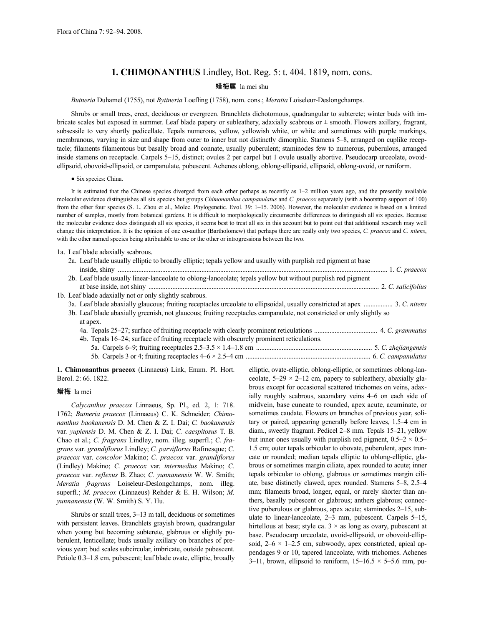# **1. CHIMONANTHUS** Lindley, Bot. Reg. 5: t. 404. 1819, nom. cons.

## 蜡梅属 la mei shu

### *Butneria* Duhamel (1755), not *Byttneria* Loefling (1758), nom. cons.; *Meratia* Loiseleur-Deslongchamps.

Shrubs or small trees, erect, deciduous or evergreen. Branchlets dichotomous, quadrangular to subterete; winter buds with imbricate scales but exposed in summer. Leaf blade papery or subleathery, adaxially scabrous or ± smooth. Flowers axillary, fragrant, subsessile to very shortly pedicellate. Tepals numerous, yellow, yellowish white, or white and sometimes with purple markings, membranous, varying in size and shape from outer to inner but not distinctly dimorphic. Stamens 5–8, arranged on cuplike receptacle; filaments filamentous but basally broad and connate, usually puberulent; staminodes few to numerous, puberulous, arranged inside stamens on receptacle. Carpels 5–15, distinct; ovules 2 per carpel but 1 ovule usually abortive. Pseudocarp urceolate, ovoidellipsoid, obovoid-ellipsoid, or campanulate, pubescent. Achenes oblong, oblong-ellipsoid, ellipsoid, oblong-ovoid, or reniform.

● Six species: China.

It is estimated that the Chinese species diverged from each other perhaps as recently as 1–2 million years ago, and the presently available molecular evidence distinguishes all six species but groups *Chimonanthus campanulatus* and *C. praecox* separately (with a bootstrap support of 100) from the other four species (S. L. Zhou et al., Molec. Phylogenetic. Evol. 39: 1–15. 2006). However, the molecular evidence is based on a limited number of samples, mostly from botanical gardens. It is difficult to morphologically circumscribe differences to distinguish all six species. Because the molecular evidence does distinguish all six species, it seems best to treat all six in this account but to point out that additional research may well change this interpretation. It is the opinion of one co-author (Bartholomew) that perhaps there are really only two species, *C. praecox* and *C. nitens*, with the other named species being attributable to one or the other or introgressions between the two.

1a. Leaf blade adaxially scabrous.

| 2a. Leaf blade usually elliptic to broadly elliptic; tepals yellow and usually with purplish red pigment at base            |  |
|-----------------------------------------------------------------------------------------------------------------------------|--|
| 2b. Leaf blade usually linear-lanceolate to oblong-lanceolate; tepals yellow but without purplish red pigment               |  |
|                                                                                                                             |  |
| 1b. Leaf blade adaxially not or only slightly scabrous.                                                                     |  |
| 3a. Leaf blade abaxially glaucous; fruiting receptacles urceolate to ellipsoidal, usually constricted at apex  3. C. nitens |  |
| 3b. Leaf blade abaxially greenish, not glaucous; fruiting receptacles campanulate, not constricted or only slightly so      |  |
| at apex.                                                                                                                    |  |
|                                                                                                                             |  |
| 4b. Tepals 16–24; surface of fruiting receptacle with obscurely prominent reticulations.                                    |  |
|                                                                                                                             |  |
|                                                                                                                             |  |

**1. Chimonanthus praecox** (Linnaeus) Link, Enum. Pl. Hort. Berol. 2: 66. 1822.

#### 蜡梅 la mei

*Calycanthus praecox* Linnaeus, Sp. Pl., ed. 2, 1: 718. 1762; *Butneria praecox* (Linnaeus) C. K. Schneider; *Chimonanthus baokanensis* D. M. Chen & Z. I. Dai; *C. baokanensis* var. *yupiensis* D. M. Chen & Z. I. Dai; *C. caespitosus* T. B. Chao et al.; *C. fragrans* Lindley, nom. illeg. superfl.; *C. fragrans* var. *grandiflorus* Lindley; *C. parviflorus* Rafinesque; *C. praecox* var. *concolor* Makino; *C. praecox* var. *grandiflorus* (Lindley) Makino; *C. praecox* var. *intermedius* Makino; *C. praecox* var. *reflexus* B. Zhao; *C. yunnanensis* W. W. Smith; *Meratia fragrans* Loiseleur-Deslongchamps, nom. illeg. superfl.; *M. praecox* (Linnaeus) Rehder & E. H. Wilson; *M. yunnanensis* (W. W. Smith) S. Y. Hu.

Shrubs or small trees, 3–13 m tall, deciduous or sometimes with persistent leaves. Branchlets grayish brown, quadrangular when young but becoming subterete, glabrous or slightly puberulent, lenticellate; buds usually axillary on branches of previous year; bud scales subcircular, imbricate, outside pubescent. Petiole 0.3–1.8 cm, pubescent; leaf blade ovate, elliptic, broadly elliptic, ovate-elliptic, oblong-elliptic, or sometimes oblong-lanceolate,  $5-29 \times 2-12$  cm, papery to subleathery, abaxially glabrous except for occasional scattered trichomes on veins, adaxially roughly scabrous, secondary veins 4–6 on each side of midvein, base cuneate to rounded, apex acute, acuminate, or sometimes caudate. Flowers on branches of previous year, solitary or paired, appearing generally before leaves, 1.5–4 cm in diam., sweetly fragrant. Pedicel 2–8 mm. Tepals 15–21, yellow but inner ones usually with purplish red pigment,  $0.5-2 \times 0.5-$ 1.5 cm; outer tepals orbicular to obovate, puberulent, apex truncate or rounded; median tepals elliptic to oblong-elliptic, glabrous or sometimes margin ciliate, apex rounded to acute; inner tepals orbicular to oblong, glabrous or sometimes margin ciliate, base distinctly clawed, apex rounded. Stamens 5–8, 2.5–4 mm; filaments broad, longer, equal, or rarely shorter than anthers, basally pubescent or glabrous; anthers glabrous; connective puberulous or glabrous, apex acute; staminodes 2–15, subulate to linear-lanceolate, 2–3 mm, pubescent. Carpels 5–15, hirtellous at base; style ca.  $3 \times$  as long as ovary, pubescent at base. Pseudocarp urceolate, ovoid-ellipsoid, or obovoid-ellipsoid,  $2-6 \times 1-2.5$  cm, subwoody, apex constricted, apical appendages 9 or 10, tapered lanceolate, with trichomes. Achenes 3–11, brown, ellipsoid to reniform,  $15-16.5 \times 5-5.6$  mm, pu-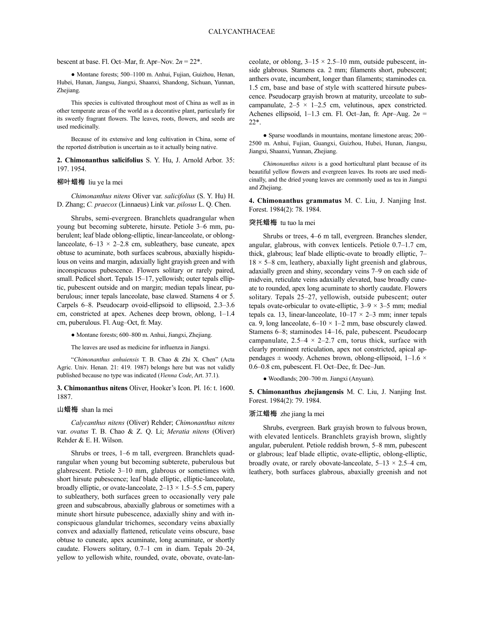#### bescent at base. Fl. Oct–Mar, fr. Apr–Nov.  $2n = 22^*$ .

● Montane forests; 500–1100 m. Anhui, Fujian, Guizhou, Henan, Hubei, Hunan, Jiangsu, Jiangxi, Shaanxi, Shandong, Sichuan, Yunnan, Zhejiang.

This species is cultivated throughout most of China as well as in other temperate areas of the world as a decorative plant, particularly for its sweetly fragrant flowers. The leaves, roots, flowers, and seeds are used medicinally.

Because of its extensive and long cultivation in China, some of the reported distribution is uncertain as to it actually being native.

**2. Chimonanthus salicifolius** S. Y. Hu, J. Arnold Arbor. 35: 197. 1954.

### 柳叶蜡梅 liu ye la mei

*Chimonanthus nitens* Oliver var. *salicifolius* (S. Y. Hu) H. D. Zhang; *C. praecox* (Linnaeus) Link var. *pilosus* L. Q. Chen.

Shrubs, semi-evergreen. Branchlets quadrangular when young but becoming subterete, hirsute. Petiole 3–6 mm, puberulent; leaf blade oblong-elliptic, linear-lanceolate, or oblonglanceolate,  $6-13 \times 2-2.8$  cm, subleathery, base cuneate, apex obtuse to acuminate, both surfaces scabrous, abaxially hispidulous on veins and margin, adaxially light grayish green and with inconspicuous pubescence. Flowers solitary or rarely paired, small. Pedicel short. Tepals 15–17, yellowish; outer tepals elliptic, pubescent outside and on margin; median tepals linear, puberulous; inner tepals lanceolate, base clawed. Stamens 4 or 5. Carpels 6–8. Pseudocarp ovoid-ellipsoid to ellipsoid, 2.3–3.6 cm, constricted at apex. Achenes deep brown, oblong, 1–1.4 cm, puberulous. Fl. Aug–Oct, fr. May.

● Montane forests; 600–800 m. Anhui, Jiangxi, Zhejiang.

The leaves are used as medicine for influenza in Jiangxi.

"*Chimonanthus anhuiensis* T. B. Chao & Zhi X. Chen" (Acta Agric. Univ. Henan. 21: 419. 1987) belongs here but was not validly published because no type was indicated (*Vienna Code*, Art. 37.1).

**3. Chimonanthus nitens** Oliver, Hooker's Icon. Pl. 16: t. 1600. 1887.

### 山蜡梅 shan la mei

*Calycanthus nitens* (Oliver) Rehder; *Chimonanthus nitens* var. *ovatus* T. B. Chao & Z. Q. Li; *Meratia nitens* (Oliver) Rehder & E. H. Wilson.

Shrubs or trees, 1–6 m tall, evergreen. Branchlets quadrangular when young but becoming subterete, puberulous but glabrescent. Petiole 3–10 mm, glabrous or sometimes with short hirsute pubescence; leaf blade elliptic, elliptic-lanceolate, broadly elliptic, or ovate-lanceolate,  $2-13 \times 1.5-5.5$  cm, papery to subleathery, both surfaces green to occasionally very pale green and subscabrous, abaxially glabrous or sometimes with a minute short hirsute pubescence, adaxially shiny and with inconspicuous glandular trichomes, secondary veins abaxially convex and adaxially flattened, reticulate veins obscure, base obtuse to cuneate, apex acuminate, long acuminate, or shortly caudate. Flowers solitary, 0.7–1 cm in diam. Tepals 20–24, yellow to yellowish white, rounded, ovate, obovate, ovate-lanceolate, or oblong,  $3-15 \times 2.5-10$  mm, outside pubescent, inside glabrous. Stamens ca. 2 mm; filaments short, pubescent; anthers ovate, incumbent, longer than filaments; staminodes ca. 1.5 cm, base and base of style with scattered hirsute pubescence. Pseudocarp grayish brown at maturity, urceolate to subcampanulate,  $2-5 \times 1-2.5$  cm, velutinous, apex constricted. Achenes ellipsoid, 1–1.3 cm. Fl. Oct–Jan, fr. Apr–Aug. 2*n* = 22\*.

● Sparse woodlands in mountains, montane limestone areas; 200– 2500 m. Anhui, Fujian, Guangxi, Guizhou, Hubei, Hunan, Jiangsu, Jiangxi, Shaanxi, Yunnan, Zhejiang.

*Chimonanthus nitens* is a good horticultural plant because of its beautiful yellow flowers and evergreen leaves. Its roots are used medicinally, and the dried young leaves are commonly used as tea in Jiangxi and Zhejiang.

**4. Chimonanthus grammatus** M. C. Liu, J. Nanjing Inst. Forest. 1984(2): 78. 1984.

### 突托蜡梅 tu tuo la mei

Shrubs or trees, 4–6 m tall, evergreen. Branches slender, angular, glabrous, with convex lenticels. Petiole 0.7–1.7 cm, thick, glabrous; leaf blade elliptic-ovate to broadly elliptic, 7–  $18 \times 5-8$  cm, leathery, abaxially light greenish and glabrous, adaxially green and shiny, secondary veins 7–9 on each side of midvein, reticulate veins adaxially elevated, base broadly cuneate to rounded, apex long acuminate to shortly caudate. Flowers solitary. Tepals 25–27, yellowish, outside pubescent; outer tepals ovate-orbicular to ovate-elliptic,  $3-9 \times 3-5$  mm; medial tepals ca. 13, linear-lanceolate,  $10-17 \times 2-3$  mm; inner tepals ca. 9, long lanceolate,  $6-10 \times 1-2$  mm, base obscurely clawed. Stamens 6–8; staminodes 14–16, pale, pubescent. Pseudocarp campanulate,  $2.5-4 \times 2-2.7$  cm, torus thick, surface with clearly prominent reticulation, apex not constricted, apical appendages  $\pm$  woody. Achenes brown, oblong-ellipsoid, 1–1.6  $\times$ 0.6–0.8 cm, pubescent. Fl. Oct–Dec, fr. Dec–Jun.

● Woodlands; 200–700 m. Jiangxi (Anyuan).

**5. Chimonanthus zhejiangensis** M. C. Liu, J. Nanjing Inst. Forest. 1984(2): 79. 1984.

### 浙江蜡梅 zhe jiang la mei

Shrubs, evergreen. Bark grayish brown to fulvous brown, with elevated lenticels. Branchlets grayish brown, slightly angular, puberulent. Petiole reddish brown, 5–8 mm, pubescent or glabrous; leaf blade elliptic, ovate-elliptic, oblong-elliptic, broadly ovate, or rarely obovate-lanceolate,  $5-13 \times 2.5-4$  cm, leathery, both surfaces glabrous, abaxially greenish and not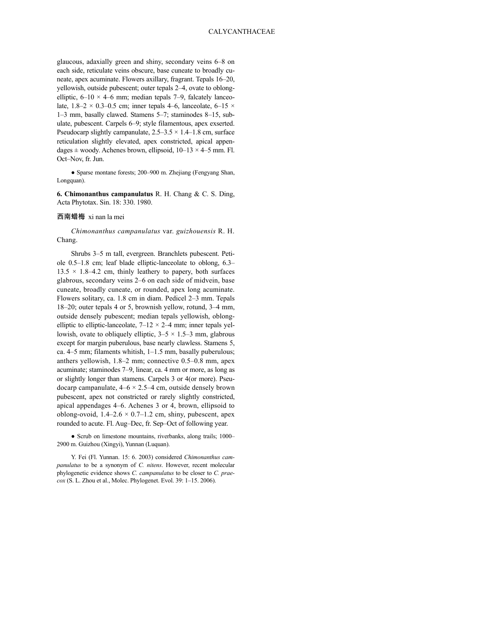glaucous, adaxially green and shiny, secondary veins 6–8 on each side, reticulate veins obscure, base cuneate to broadly cuneate, apex acuminate. Flowers axillary, fragrant. Tepals 16–20, yellowish, outside pubescent; outer tepals 2–4, ovate to oblongelliptic,  $6-10 \times 4-6$  mm; median tepals 7–9, falcately lanceolate,  $1.8-2 \times 0.3-0.5$  cm; inner tepals 4–6, lanceolate,  $6-15 \times$ 1–3 mm, basally clawed. Stamens 5–7; staminodes 8–15, subulate, pubescent. Carpels 6–9; style filamentous, apex exserted. Pseudocarp slightly campanulate,  $2.5-3.5 \times 1.4-1.8$  cm, surface reticulation slightly elevated, apex constricted, apical appendages  $\pm$  woody. Achenes brown, ellipsoid,  $10-13 \times 4-5$  mm. Fl. Oct–Nov, fr. Jun.

● Sparse montane forests; 200–900 m. Zhejiang (Fengyang Shan, Longquan).

**6. Chimonanthus campanulatus** R. H. Chang & C. S. Ding, Acta Phytotax. Sin. 18: 330. 1980.

### 西南蜡梅 xi nan la mei

*Chimonanthus campanulatus* var. *guizhouensis* R. H. Chang.

Shrubs 3–5 m tall, evergreen. Branchlets pubescent. Petiole 0.5–1.8 cm; leaf blade elliptic-lanceolate to oblong, 6.3–  $13.5 \times 1.8 - 4.2$  cm, thinly leathery to papery, both surfaces glabrous, secondary veins 2–6 on each side of midvein, base cuneate, broadly cuneate, or rounded, apex long acuminate. Flowers solitary, ca. 1.8 cm in diam. Pedicel 2–3 mm. Tepals 18–20; outer tepals 4 or 5, brownish yellow, rotund, 3–4 mm, outside densely pubescent; median tepals yellowish, oblongelliptic to elliptic-lanceolate,  $7-12 \times 2-4$  mm; inner tepals yellowish, ovate to obliquely elliptic,  $3-5 \times 1.5-3$  mm, glabrous except for margin puberulous, base nearly clawless. Stamens 5, ca. 4–5 mm; filaments whitish, 1–1.5 mm, basally puberulous; anthers yellowish, 1.8–2 mm; connective 0.5–0.8 mm, apex acuminate; staminodes 7–9, linear, ca. 4 mm or more, as long as or slightly longer than stamens. Carpels 3 or 4(or more). Pseudocarp campanulate,  $4-6 \times 2.5-4$  cm, outside densely brown pubescent, apex not constricted or rarely slightly constricted, apical appendages 4–6. Achenes 3 or 4, brown, ellipsoid to oblong-ovoid,  $1.4-2.6 \times 0.7-1.2$  cm, shiny, pubescent, apex rounded to acute. Fl. Aug–Dec, fr. Sep–Oct of following year.

• Scrub on limestone mountains, riverbanks, along trails; 1000– 2900 m. Guizhou (Xingyi), Yunnan (Luquan).

Y. Fei (Fl. Yunnan. 15: 6. 2003) considered *Chimonanthus campanulatus* to be a synonym of *C. nitens*. However, recent molecular phylogenetic evidence shows *C. campanulatus* to be closer to *C. praecox* (S. L. Zhou et al., Molec. Phylogenet. Evol. 39: 1–15. 2006).